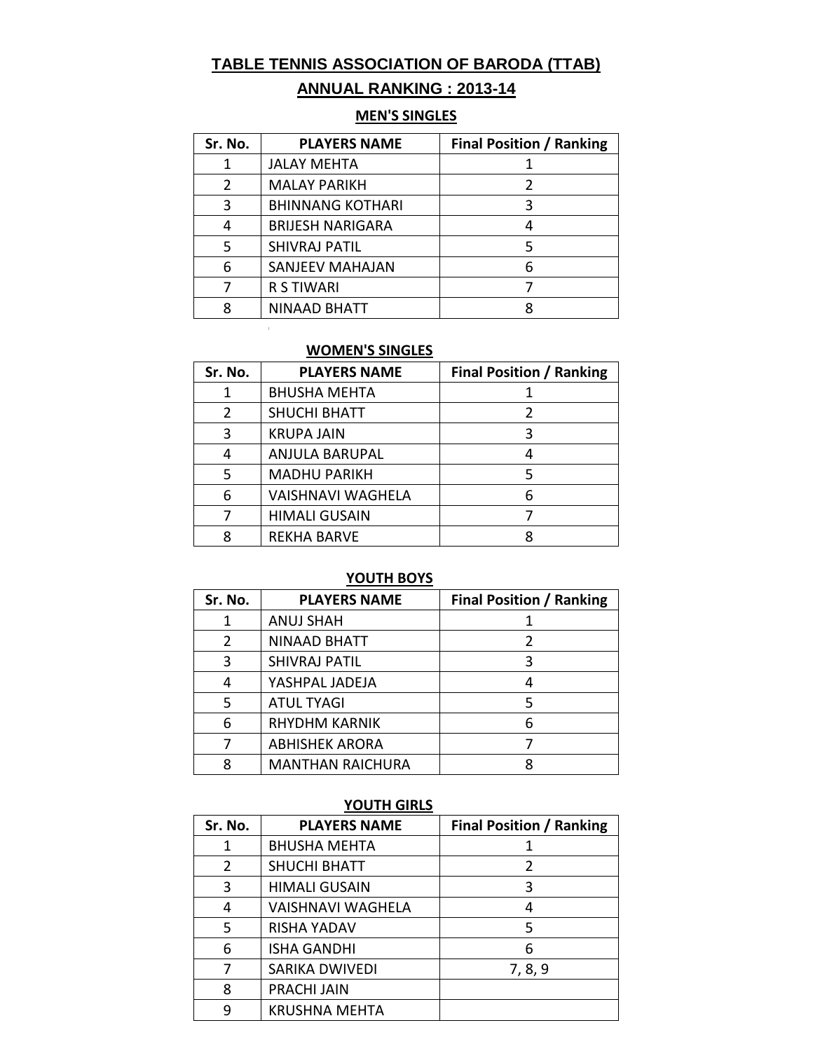# **TABLE TENNIS ASSOCIATION OF BARODA (TTAB)**

# **ANNUAL RANKING : 2013-14**

#### **MEN'S SINGLES**

| Sr. No. | <b>PLAYERS NAME</b>     | <b>Final Position / Ranking</b> |
|---------|-------------------------|---------------------------------|
|         | JALAY MEHTA             |                                 |
| 2       | <b>MALAY PARIKH</b>     |                                 |
| 3       | <b>BHINNANG KOTHARI</b> |                                 |
| 4       | <b>BRIJESH NARIGARA</b> |                                 |
| 5       | <b>SHIVRAJ PATIL</b>    |                                 |
| 6       | <b>SANJEEV MAHAJAN</b>  | 6                               |
|         | <b>R S TIWARI</b>       |                                 |
| 8       | NINAAD BHATT            |                                 |

#### **WOMEN'S SINGLES**

 $\mathbb{R}^2$ 

| Sr. No. | <b>PLAYERS NAME</b>      | <b>Final Position / Ranking</b> |
|---------|--------------------------|---------------------------------|
| 1       | <b>BHUSHA MEHTA</b>      |                                 |
| 2       | <b>SHUCHI BHATT</b>      |                                 |
| 3       | <b>KRUPA JAIN</b>        | 3                               |
| 4       | <b>ANJULA BARUPAL</b>    |                                 |
| 5       | <b>MADHU PARIKH</b>      |                                 |
| 6       | <b>VAISHNAVI WAGHELA</b> |                                 |
|         | <b>HIMALI GUSAIN</b>     |                                 |
| 8       | <b>REKHA BARVE</b>       |                                 |

#### **YOUTH BOYS**

| Sr. No. | <b>PLAYERS NAME</b>     | <b>Final Position / Ranking</b> |
|---------|-------------------------|---------------------------------|
| 1       | <b>ANUJ SHAH</b>        |                                 |
| 2       | NINAAD BHATT            |                                 |
| 3       | <b>SHIVRAJ PATIL</b>    |                                 |
| 4       | YASHPAL JADEJA          |                                 |
| 5       | <b>ATUL TYAGI</b>       |                                 |
| 6       | <b>RHYDHM KARNIK</b>    |                                 |
|         | <b>ABHISHEK ARORA</b>   |                                 |
|         | <b>MANTHAN RAICHURA</b> |                                 |

# **YOUTH GIRLS**

| Sr. No. | <b>PLAYERS NAME</b>   | <b>Final Position / Ranking</b> |
|---------|-----------------------|---------------------------------|
|         | <b>BHUSHA MEHTA</b>   |                                 |
| 2       | <b>SHUCHI BHATT</b>   | 2                               |
| 3       | <b>HIMALI GUSAIN</b>  | κ                               |
| 4       | VAISHNAVI WAGHELA     |                                 |
| 5       | <b>RISHA YADAV</b>    | 5                               |
| 6       | <b>ISHA GANDHI</b>    | 6                               |
| 7       | <b>SARIKA DWIVEDI</b> | 7, 8, 9                         |
| 8       | <b>PRACHI JAIN</b>    |                                 |
| 9       | <b>KRUSHNA MEHTA</b>  |                                 |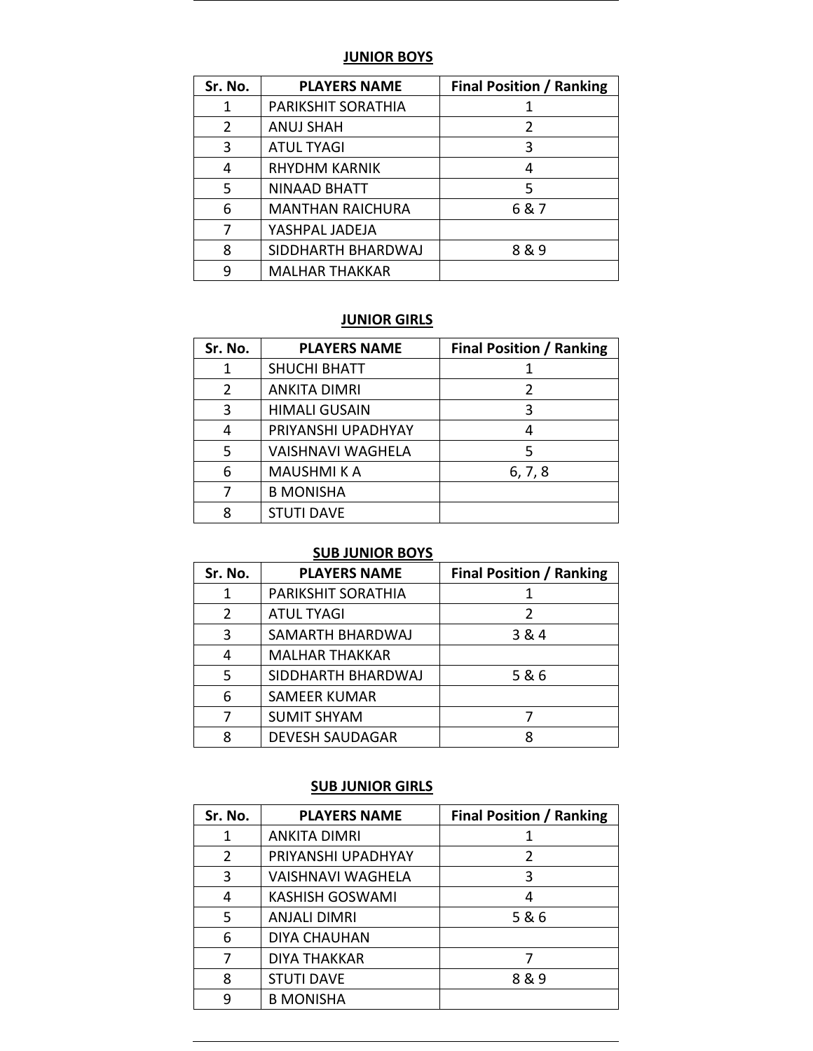#### **JUNIOR BOYS**

| Sr. No. | <b>PLAYERS NAME</b>     | <b>Final Position / Ranking</b> |
|---------|-------------------------|---------------------------------|
| 1       | PARIKSHIT SORATHIA      |                                 |
| 2       | <b>ANUJ SHAH</b>        | 2                               |
| 3       | <b>ATUL TYAGI</b>       | 3                               |
| 4       | RHYDHM KARNIK           |                                 |
| 5       | NINAAD BHATT            | 5                               |
| 6       | <b>MANTHAN RAICHURA</b> | 6 & 7                           |
|         | YASHPAL JADEJA          |                                 |
| 8       | SIDDHARTH BHARDWAJ      | 8&9                             |
| q       | <b>MALHAR THAKKAR</b>   |                                 |

#### **JUNIOR GIRLS**

| Sr. No. | <b>PLAYERS NAME</b>      | <b>Final Position / Ranking</b> |
|---------|--------------------------|---------------------------------|
| 1       | <b>SHUCHI BHATT</b>      |                                 |
| 2       | <b>ANKITA DIMRI</b>      |                                 |
| 3       | <b>HIMALI GUSAIN</b>     | 3                               |
| 4       | PRIYANSHI UPADHYAY       |                                 |
| 5       | <b>VAISHNAVI WAGHELA</b> |                                 |
| 6       | <b>MAUSHMIKA</b>         | 6, 7, 8                         |
|         | <b>B MONISHA</b>         |                                 |
| 8       | <b>STUTI DAVE</b>        |                                 |

#### **SUB JUNIOR BOYS**

| Sr. No. | <b>PLAYERS NAME</b>    | <b>Final Position / Ranking</b> |
|---------|------------------------|---------------------------------|
| 1       | PARIKSHIT SORATHIA     |                                 |
| 2       | <b>ATUL TYAGI</b>      |                                 |
| 3       | SAMARTH BHARDWAJ       | 3 & 4                           |
| 4       | <b>MALHAR THAKKAR</b>  |                                 |
| 5       | SIDDHARTH BHARDWAJ     | 5&6                             |
| 6       | <b>SAMEER KUMAR</b>    |                                 |
|         | <b>SUMIT SHYAM</b>     |                                 |
| 8       | <b>DEVESH SAUDAGAR</b> |                                 |

#### **SUB JUNIOR GIRLS**

| Sr. No. | <b>PLAYERS NAME</b>      | <b>Final Position / Ranking</b> |
|---------|--------------------------|---------------------------------|
| 1       | <b>ANKITA DIMRI</b>      |                                 |
| 2       | PRIYANSHI UPADHYAY       | 2                               |
| 3       | <b>VAISHNAVI WAGHELA</b> | 3                               |
| 4       | <b>KASHISH GOSWAMI</b>   | 4                               |
| 5       | <b>ANJALI DIMRI</b>      | 5&6                             |
| 6       | <b>DIYA CHAUHAN</b>      |                                 |
| 7       | <b>DIYA THAKKAR</b>      |                                 |
| 8       | <b>STUTI DAVE</b>        | 8&9                             |
| 9       | <b>B MONISHA</b>         |                                 |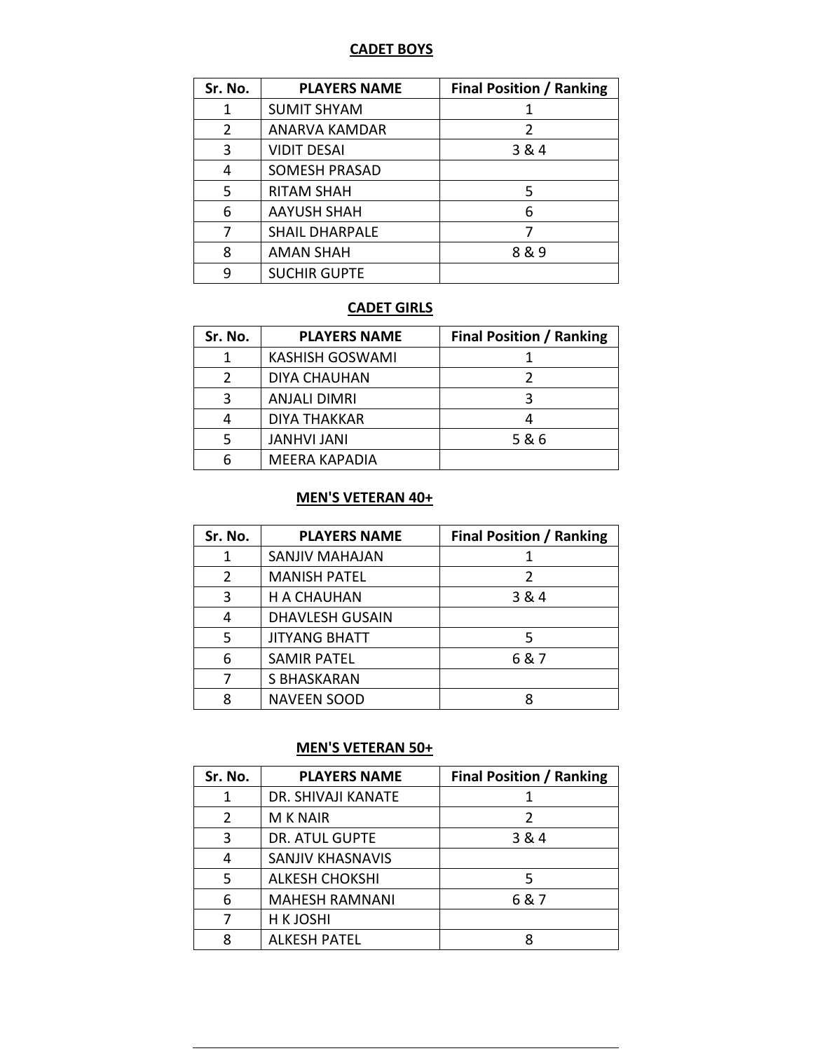### **CADET BOYS**

| Sr. No.        | <b>PLAYERS NAME</b>   | <b>Final Position / Ranking</b> |
|----------------|-----------------------|---------------------------------|
| 1              | <b>SUMIT SHYAM</b>    |                                 |
| $\overline{2}$ | ANARVA KAMDAR         | $\mathcal{P}$                   |
| 3              | <b>VIDIT DESAI</b>    | 3 & 4                           |
| 4              | <b>SOMESH PRASAD</b>  |                                 |
| 5              | <b>RITAM SHAH</b>     | 5                               |
| 6              | <b>AAYUSH SHAH</b>    | 6                               |
|                | <b>SHAIL DHARPALE</b> |                                 |
| 8              | <b>AMAN SHAH</b>      | 8&9                             |
| q              | <b>SUCHIR GUPTE</b>   |                                 |

#### **CADET GIRLS**

| Sr. No. | <b>PLAYERS NAME</b>    | <b>Final Position / Ranking</b> |
|---------|------------------------|---------------------------------|
|         | <b>KASHISH GOSWAMI</b> |                                 |
|         | <b>DIYA CHAUHAN</b>    |                                 |
|         | <b>ANJALI DIMRI</b>    |                                 |
|         | DIYA THAKKAR           |                                 |
|         | <b>JANHVI JANI</b>     | 5&6                             |
|         | <b>MEERA KAPADIA</b>   |                                 |

#### **MEN'S VETERAN 40+**

| Sr. No. | <b>PLAYERS NAME</b>    | <b>Final Position / Ranking</b> |
|---------|------------------------|---------------------------------|
|         | <b>SANJIV MAHAJAN</b>  |                                 |
| 2       | <b>MANISH PATEL</b>    |                                 |
| 3       | <b>H A CHAUHAN</b>     | 3 & 4                           |
| 4       | <b>DHAVLESH GUSAIN</b> |                                 |
| 5       | <b>JITYANG BHATT</b>   | 5                               |
| 6       | <b>SAMIR PATEL</b>     | 6&7                             |
|         | S BHASKARAN            |                                 |
| 8       | <b>NAVEEN SOOD</b>     |                                 |

## **MEN'S VETERAN 50+**

| Sr. No. | <b>PLAYERS NAME</b>     | <b>Final Position / Ranking</b> |
|---------|-------------------------|---------------------------------|
| 1       | DR. SHIVAJI KANATE      |                                 |
| 2       | <b>M K NAIR</b>         |                                 |
| 3       | <b>DR. ATUL GUPTE</b>   | 3 & 4                           |
| 4       | <b>SANJIV KHASNAVIS</b> |                                 |
| 5       | <b>ALKESH CHOKSHI</b>   |                                 |
| 6       | <b>MAHESH RAMNANI</b>   | 6 & 7                           |
| 7       | H K JOSHI               |                                 |
| 8       | <b>ALKESH PATEL</b>     |                                 |